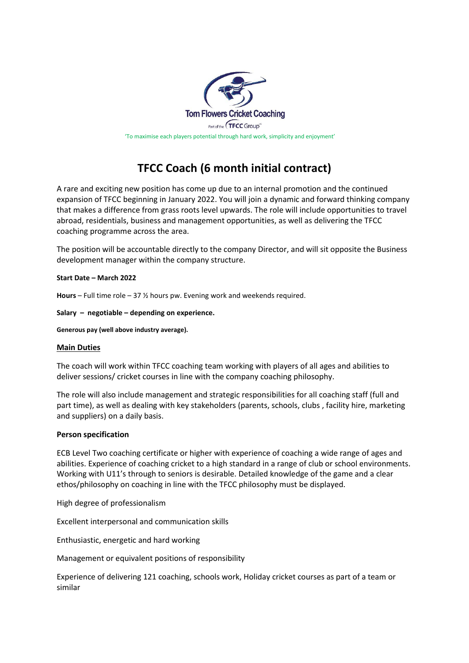

## **TFCC Coach (6 month initial contract)**

A rare and exciting new position has come up due to an internal promotion and the continued expansion of TFCC beginning in January 2022. You will join a dynamic and forward thinking company that makes a difference from grass roots level upwards. The role will include opportunities to travel abroad, residentials, business and management opportunities, as well as delivering the TFCC coaching programme across the area.

The position will be accountable directly to the company Director, and will sit opposite the Business development manager within the company structure.

## **Start Date – March 2022**

**Hours** – Full time role – 37 ½ hours pw. Evening work and weekends required.

**Salary – negotiable – depending on experience.** 

**Generous pay (well above industry average).** 

## **Main Duties**

The coach will work within TFCC coaching team working with players of all ages and abilities to deliver sessions/ cricket courses in line with the company coaching philosophy.

The role will also include management and strategic responsibilities for all coaching staff (full and part time), as well as dealing with key stakeholders (parents, schools, clubs , facility hire, marketing and suppliers) on a daily basis.

## **Person specification**

ECB Level Two coaching certificate or higher with experience of coaching a wide range of ages and abilities. Experience of coaching cricket to a high standard in a range of club or school environments. Working with U11's through to seniors is desirable. Detailed knowledge of the game and a clear ethos/philosophy on coaching in line with the TFCC philosophy must be displayed.

High degree of professionalism

Excellent interpersonal and communication skills

Enthusiastic, energetic and hard working

Management or equivalent positions of responsibility

Experience of delivering 121 coaching, schools work, Holiday cricket courses as part of a team or similar